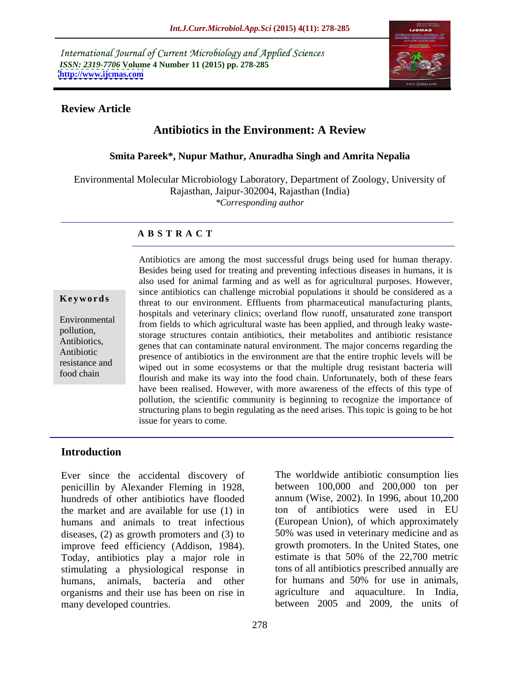International Journal of Current Microbiology and Applied Sciences *ISSN: 2319-7706* **Volume 4 Number 11 (2015) pp. 278-285 <http://www.ijcmas.com>**



### **Review Article**

# **Antibiotics in the Environment: A Review**

### **Smita Pareek\*, Nupur Mathur, Anuradha Singh and Amrita Nepalia**

Environmental Molecular Microbiology Laboratory, Department of Zoology, University of Rajasthan, Jaipur-302004, Rajasthan (India) *\*Corresponding author*

### **A B S T R A C T**

food chain

Antibiotics are among the most successful drugs being used for human therapy. Besides being used for treating and preventing infectious diseases in humans, it is also used for animal farming and as well as for agricultural purposes. However, since antibiotics can challenge microbial populations it should be considered as a threat to our environment. Effluents from pharmaceutical manufacturing plants, **Ke ywo rds** hospitals and veterinary clinics; overland flow runoff, unsaturated zone transport From fields to which agricultural waste has been applied, and through leaky wastepollution, storage structures contain antibiotics, their metabolites and antibiotic resistance Antibiotics, genes that can contaminate natural environment. The major concerns regarding the Antibiotic presence of antibiotics in the environment are that the entire trophic levels will be resistance and wiped out in some ecosystems or that the multiple drug resistant bacteria will flourish and make its way into the food chain. Unfortunately, both of these fears have been realised. However, with more awareness of the effects of this type of pollution, the scientific community is beginning to recognize the importance of structuring plans to begin regulating as the need arises. This topic is going to be hot issue for years to come.

### **Introduction**

Ever since the accidental discovery of penicillin by Alexander Fleming in 1928, hundreds of other antibiotics have flooded annum (Wise, 2002). In 1996, about 10,200 the market and are available for use (1) in ton of antibiotics were used in EU humans and animals to treat infectious (European Union), of which approximately diseases, (2) as growth promoters and (3) to improve feed efficiency (Addison, 1984). Today, antibiotics play a major role in stimulating a physiological response in tons of all antibiotics prescribed annually are<br>humans, animals, bacteria and other for humans and 50% for use in animals, humans, animals, bacteria and other organisms and their use has been on rise in many developed countries. between 2005 and 2009, the units of

The worldwide antibiotic consumption lies between 100,000 and 200,000 ton per 50% was used in veterinary medicine and as growth promoters. In the United States, one estimate is that 50% of the 22,700 metric tons of all antibiotics prescribed annually are for humans and 50% for use in animals, agriculture and aquaculture. In India,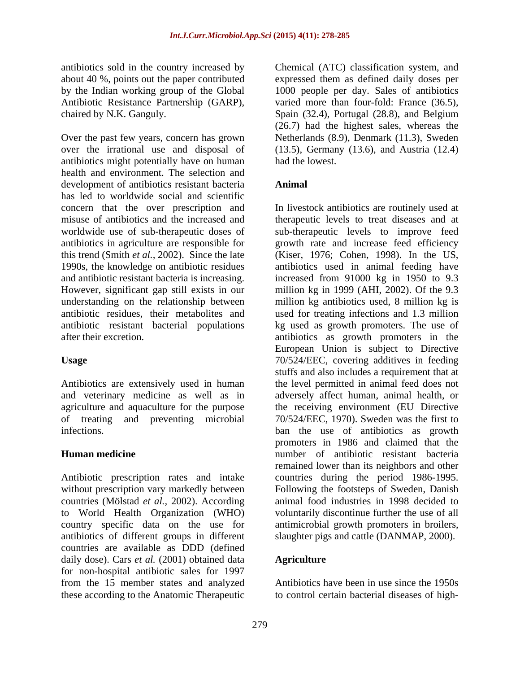antibiotics sold in the country increased by Chemical (ATC) classification system, and about 40 %, points out the paper contributed by the Indian working group of the Global 1000 people per day. Sales of antibiotics Antibiotic Resistance Partnership (GARP), varied more than four-fold: France (36.5), chaired by N.K. Ganguly. Spain (32.4), Portugal (28.8), and Belgium

Over the past few years, concern has grown over the irrational use and disposal of (13.5), Germany (13.6), and Austria (12.4) antibiotics might potentially have on human health and environment. The selection and development of antibiotics resistant bacteria **Animal** has led to worldwide social and scientific worldwide use of sub-therapeutic doses of

Antibiotics are extensively used in human

Antibiotic prescription rates and intake without prescription vary markedly between countries (Mölstad *et al.,* 2002). According antibiotics of different groups in different countries are available as DDD (defined daily dose). Cars *et al.* (2001) obtained data **Agriculture** for non-hospital antibiotic sales for 1997 from the 15 member states and analyzed

expressed them as defined daily doses per (26.7) had the highest sales, whereas the Netherlands (8.9), Denmark (11.3), Sweden had the lowest.

# **Animal**

concern that the over prescription and In livestock antibiotics are routinely used at misuse of antibiotics and the increased and therapeutic levels to treat diseases and at antibiotics in agriculture are responsible for growth rate and increase feed efficiency this trend (Smith *et al.,* 2002). Since the late (Kiser, 1976; Cohen, 1998). In the US, 1990s, the knowledge on antibiotic residues antibiotics used in animal feeding have and antibiotic resistant bacteria is increasing. increased from 91000 kg in 1950 to 9.3 However, significant gap still exists in our million kg in 1999 (AHI, 2002). Of the 9.3 understanding on the relationship between million kg antibiotics used, 8 million kg is antibiotic residues, their metabolites and used for treating infections and 1.3 million antibiotic resistant bacterial populations kg used as growth promoters. The use of after their excretion. antibiotics as growth promoters in the Usage **1986** TO/524/EEC, covering additives in feeding and veterinary medicine as well as in adversely affect human, animal health, or agriculture and aquaculture for the purpose the receiving environment (EU Directive of treating and preventing microbial 70/524/EEC, 1970). Sweden was the first to infections. ban the use of antibiotics as growth **Human medicine** number of antibiotic resistant bacteria to World Health Organization (WHO) voluntarily discontinue further the use of all country specific data on the use for antimicrobial growth promoters in broilers, sub-therapeutic levels to improve feed European Union is subject to Directive stuffs and also includes a requirement that at the level permitted in animal feed does not promoters in 1986 and claimed that the remained lower than its neighbors and other countries during the period 1986-1995. Following the footsteps of Sweden, Danish animal food industries in 1998 decided to slaughter pigs and cattle (DANMAP, 2000).

### **Agriculture**

these according to the Anatomic Therapeutic to control certain bacterial diseases of high-Antibiotics have been in use since the 1950s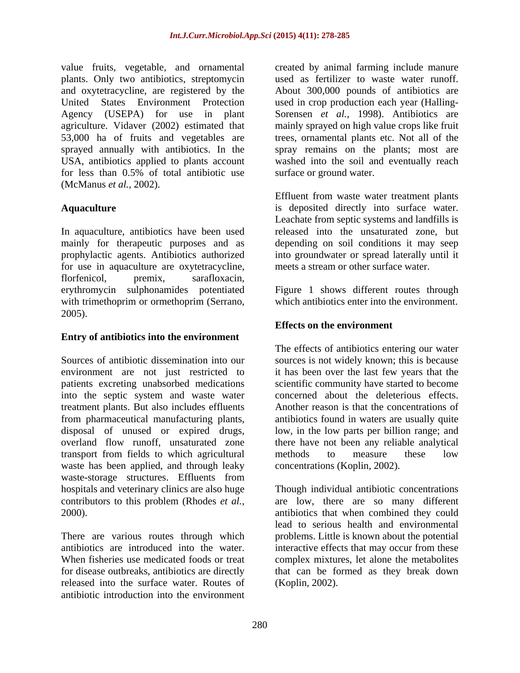value fruits, vegetable, and ornamental plants. Only two antibiotics, streptomycin and oxytetracycline, are registered by the About 300,000 pounds of antibiotics are United States Environment Protection used in crop production each year (Halling- Agency (USEPA) for use in plant Sorensen *et al.,* 1998). Antibiotics are agriculture. Vidaver (2002) estimated that 53,000 ha of fruits and vegetables are trees, ornamental plants etc. Not all of the sprayed annually with antibiotics. In the spray remains on the plants; most are USA, antibiotics applied to plants account washed into the soil and eventually reach for less than 0.5% of total antibiotic use surface or ground water. (McManus *et al.,* 2002).

In aquaculture, antibiotics have been used for use in aquaculture are oxytetracycline, florfenicol, premix, sarafloxacin, erythromycin sulphonamides potentiated Figure 1 shows different routes through with trimethoprim or ormethoprim (Serrano, 2005).

### **Entry of antibiotics into the environment**

Sources of antibiotic dissemination into our sources is not widely known; this is because environment are not just restricted to patients excreting unabsorbed medications scientific community have started to become into the septic system and waste water treatment plants. But also includes effluents Another reason is that the concentrations of from pharmaceutical manufacturing plants, antibiotics found in waters are usually quite disposal of unused or expired drugs, overland flow runoff, unsaturated zone there have not been any reliable analytical transport from fields to which agricultural waste has been applied, and through leaky waste-storage structures. Effluents from hospitals and veterinary clinics are also huge

antibiotics are introduced into the water. for disease outbreaks, antibiotics are directly released into the surface water. Routes of antibiotic introduction into the environment

created by animal farming include manure used as fertilizer to waste water runoff. mainly sprayed on high value crops like fruit surface or ground water.

**Aquaculture** is deposited directly into surface water. mainly for therapeutic purposes and as depending on soil conditions it may seep prophylactic agents. Antibiotics authorized into groundwater or spread laterally until it Effluent from waste water treatment plants Leachate from septic systems and landfills is released into the unsaturated zone, but meets a stream or other surface water.

which antibiotics enter into the environment.

# **Effects on the environment**

The effects of antibiotics entering our water it has been over the last few years that the concerned about the deleterious effects. low, in the low parts per billion range; and methods to measure these low concentrations (Koplin, 2002).

contributors to this problem (Rhodes *et al.,* are low, there are so many different 2000). antibiotics that when combined they could There are various routes through which problems. Little is known about the potential When fisheries use medicated foods or treat complex mixtures, let alone the metabolites Though individual antibiotic concentrations lead to serious health and environmental interactive effects that may occur from these that can be formed as they break down (Koplin*,* 2002).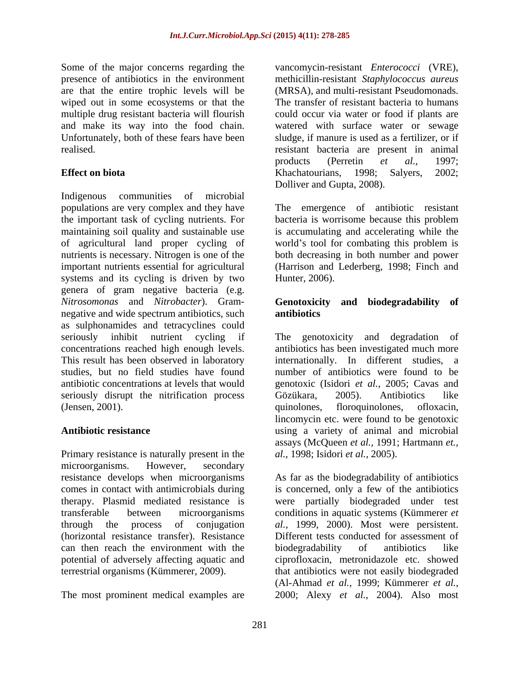Some of the major concerns regarding the vancomycin-resistant *Enterococci* (VRE), are that the entire trophic levels will be wiped out in some ecosystems or that the

Indigenous communities of microbial populations are very complex and they have The emergence of antibiotic resistant the important task of cycling nutrients. For bacteria is worrisome because this problem maintaining soil quality and sustainable use is accumulating and accelerating while the of agricultural land proper cycling of world's tool for combating this problem is nutrients is necessary. Nitrogen is one of the both decreasing in both number and power important nutrients essential for agricultural (Harrison and Lederberg, 1998; Finch and systems and its cycling is driven by two Hunter, 2006). genera of gram negative bacteria (e.g. *Nitrosomonas* and *Nitrobacter*). Gram negative and wide spectrum antibiotics, such **antibiotics** as sulphonamides and tetracyclines could seriously inhibit nutrient cycling if The genotoxicity and degradation of concentrations reached high enough levels. antibiotics has been investigated much more This result has been observed in laboratory studies, but no field studies have found number of antibiotics were found to be antibiotic concentrations at levels that would genotoxic (Isidori *et al.,* 2005; Cavas and seriously disrupt the nitrification process Gözükara, 2005). Antibiotics like (Jensen, 2001). quinolones, floroquinolones, ofloxacin,

Primary resistance is naturally present in the microorganisms. However, secondary can then reach the environment with the biodegradability of antibiotics like

presence of antibiotics in the environment methicillin-resistant *Staphylococcus aureus* multiple drug resistant bacteria will flourish could occur via water or food if plants are and make its way into the food chain. watered with surface water or sewage Unfortunately, both of these fears have been sludge, if manure is used as a fertilizer, or if realised. resistant bacteria are present in animal **Effect on biota Effect on biota Exercise 2002**; **Exercise 2002**; **Exercise 2002**; (MRSA), and multi-resistant Pseudomonads. The transfer of resistant bacteria to humans products (Perretin *et al.,* 1997; Khachatourians, 1998; Salyers, 2002; Dolliver and Gupta, 2008).

Hunter, 2006).

### **Genotoxicity and biodegradability of antibiotics**

**Antibiotic resistance** using a variety of animal and microbial internationally. In different studies, a Gözükara, 2005). Antibiotics like quinolones, floroquinolones, ofloxacin, lincomycin etc. were found to be genotoxic assays (McQueen *et al.,* 1991; Hartmann *et., al.,* 1998; Isidori *et al.,* 2005).

resistance develops when microorganisms As far as the biodegradability of antibiotics comes in contact with antimicrobials during is concerned, only a few of the antibiotics therapy. Plasmid mediated resistance is were partially biodegraded under test transferable between microorganisms conditions in aquatic systems (Kümmerer *et*  through the process of conjugation *al.,* 1999, 2000). Most were persistent. (horizontal resistance transfer). Resistance Different tests conducted for assessment of potential of adversely affecting aquatic and ciprofloxacin, metronidazole etc. showed terrestrial organisms (Kümmerer, 2009). that antibiotics were not easily biodegraded The most prominent medical examples are 2000; Alexy *et al.,* 2004). Also mostbiodegradability of antibiotics like (Al-Ahmad *et al.,* 1999; Kümmerer *et al.,*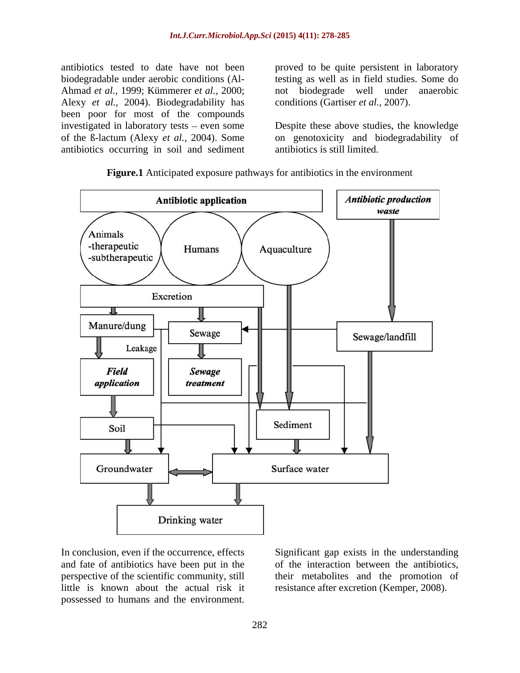Alexy *et al.,* 2004). Biodegradability has been poor for most of the compounds antibiotics occurring in soil and sediment

antibiotics tested to date have not been proved to be quite persistent in laboratory biodegradable under aerobic conditions (Al- testing as well as in field studies. Some do Ahmad *et al.,* 1999; Kümmerer *et al.,* 2000; not biodegrade well under anaerobic conditions (Gartiser *et al.,* 2007).

investigated in laboratory tests – even some Despite these above studies, the knowledge of the ß-lactum (Alexy *et al.,* 2004). Some on genotoxicity and biodegradability of antibiotics is still limited.



**Figure.1** Anticipated exposure pathways for antibiotics in the environment

In conclusion, even if the occurrence, effects Significant gap exists in the understanding and fate of antibiotics have been put in the of the interaction between the antibiotics, perspective of the scientific community, still their metabolites and the promotion of little is known about the actual risk it resistance after excretion (Kemper, 2008). In conclusion, even if the occurrence, effects<br>and fate of antibiotics have been put in the of the interaction between the antibiotics,<br>perspective of the scientific community, still<br>little is known about the actual risk i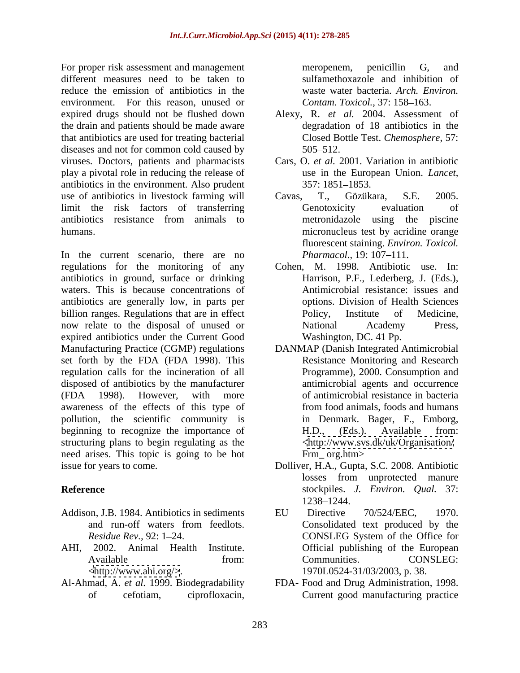For proper risk assessment and management meropenem, penicillin G, and different measures need to be taken to reduce the emission of antibiotics in the environment. For this reason, unused or expired drugs should not be flushed down the drain and patients should be made aware that antibiotics are used for treating bacterial diseases and not for common cold caused by 505–512. viruses. Doctors, patients and pharmacists play a pivotal role in reducing the release of use in the European Union. *Lancet*, antibiotics in the environment. Also prudent use of antibiotics in livestock farming will Cavas, T., Gözükara, S.E. 2005. limit the risk factors of transferring antibiotics resistance from animals to humans. micronucleus test by acridine orange

In the current scenario, there are no *Pharmacol*, 19:107-111. regulations for the monitoring of any antibiotics in ground, surface or drinking waters. This is because concentrations of antibiotics are generally low, in parts per billion ranges. Regulations that are in effect Policy, Institute of Medicine, now relate to the disposal of unused or National Academy Press, expired antibiotics under the Current Good Manufacturing Practice (CGMP) regulations DANMAP (Danish Integrated Antimicrobial set forth by the FDA (FDA 1998). This regulation calls for the incineration of all disposed of antibiotics by the manufacturer (FDA 1998). However, with more of antimicrobial resistance in bacteria awareness of the effects of this type of pollution, the scientific community is in Denmark. Bager, F., Emborg, beginning to recognize the importance of H.D., (Eds.). Available from: structuring plans to begin regulating as the need arises. This topic is going to be hot Frm org.htm> issue for years to come. Dolliver, H.A., Gupta, S.C. 2008. Antibiotic per ink assessment and management<br>
of cerosition of containing center and initial cerosition of the emission of antiboxics in the emission of antiboxics in the<br>
the emission of anothetics in the way. The end of the state

- Addison, J.B. 1984. Antibiotics in sediments EU Directive 70/524/EEC, 1970.
- 
- 

sulfamethoxazole and inhibition of waste water bacteria. *Arch. Environ. Contam. Toxicol.*, 37: 158-163.

- Alexy, R. *et al.* 2004. Assessment of degradation of 18 antibiotics in the Closed Bottle Test. *Chemosphere*, 57: 505 512.
- Cars, O. *et al.* 2001. Variation in antibiotic use in the European Union. *Lancet*, 357: 1851–1853.
- Cavas, T., Gözükara, S.E. 2005. Genotoxicity evaluation of metronidazole using the piscine fluorescent staining. *Environ. Toxicol. Pharmacol.*, 19: 107–111.
- Cohen, M. 1998. Antibiotic use. In: Harrison, P.F., Lederberg, J. (Eds.), Antimicrobial resistance: issues and options. Division of Health Sciences Policy, Institute of Medicine, National Academy Press, Washington, DC. 41 Pp.
- Resistance Monitoring and Research Programme), 2000. Consumption and antimicrobial agents and occurrence from food animals, foods and humans in Denmark. Bager, F., Emborg,<br>H.D., (Eds.). Available from: [<http://www.svs.dk/uk/Organisation/](http://www.svs.dk/uk/Organisation/) Frm\_ org.htm>
- **Reference** stockpiles. *J. Environ. Qual.* 37: losses from unprotected manure 1238–1244.
- and run-off waters from feedlots. *Residue Rev., 92:* 1–24. CONSLEG System of the Office for AHI, 2002. Animal Health Institute. Official publishing of the European Available **Example 18** from: Communities. CONSLEG: [<http://www.ahi.org/>](http://www.ahi.org/>). 1970L0524-31/03/2003, p. 38. EU Directive 70/524/EEC, 1970. Consolidated text produced by the CONSLEG System of the Office for Communities. CONSLEG:
- Al-Ahmad, A. *et al.* 1999. Biodegradability FDA- Food and Drug Administration, 1998. Current good manufacturing practice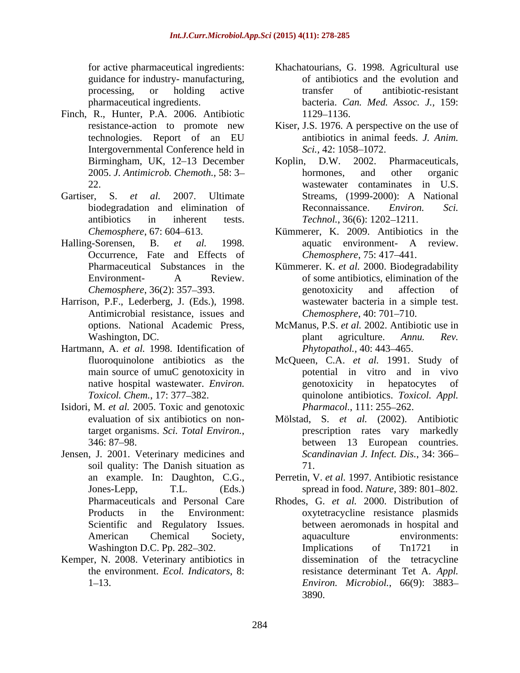guidance for industry- manufacturing,

- Finch, R., Hunter, P.A. 2006. Antibiotic 1129–1136.<br>resistance-action to promote new Kiser, J.S. 1976. A Intergovernmental Conference held in Sci., 42: 1058–1072.
- Gartiser, S. *et al.* 2007. Ultimate
- Occurrence, Fate and Effects of
- Harrison, P.F., Lederberg, J. (Eds.), 1998. Antimicrobial resistance, issues and
- Hartmann, A. *et al.* 1998. Identification of main source of umuC genotoxicity in
- Isidori, M. *et al.* 2005. Toxic and genotoxic
- Jensen, J. 2001. Veterinary medicines and soil quality: The Danish situation as  $71$ . Scientific and Regulatory Issues.
- Kemper, N. 2008. Veterinary antibiotics in
- for active pharmaceutical ingredients: Khachatourians, G. 1998. Agricultural use processing, or holding active transfer of antibiotic-resistant pharmaceutical ingredients. bacteria. *Can. Med. Assoc. J.,* 159: of antibiotics and the evolution and transfer of antibiotic-resistant 1129–1136.
- resistance-action to promote new Kiser, J.S. 1976. A perspective on the use of technologies. Report of an EU antibiotics in animal feeds. J. Anim. antibiotics in animal feeds. *J. Anim. Sci.,* 42: 1058–1072.
- Birmingham, UK, 12-13 December Koplin, D.W. 2002. Pharmaceuticals, 2005. *J. Antimicrob. Chemoth.,* 58: 3 22. wastewater contaminates in U.S. biodegradation and elimination of Reconnaissance. *Environ.* Sci. antibiotics in inherent tests. *Technol*., 36(6): 1202–1211. Koplin, D.W. 2002. Pharmaceuticals, hormones, and other organic Streams, (1999-2000): A National Reconnaissance. *Environ. Sci.*
- *Chemosphere*, 67: 604 613. Kümmerer, K. 2009. Antibiotics in the Halling-Sorensen, B. *et al.* 1998. aquatic environment- A review. *Chemosphere*, 75: 417–441.
	- Pharmaceutical Substances in the Kümmerer. K. *et al.* 2000. Biodegradability Environment- A Review. of some antibiotics, elimination of the *Chemosphere*, 36(2): 357–393. genotoxicity and affection of genotoxicity and affection of wastewater bacteria in a simple test. *Chemosphere*, 40: 701-710.
	- options. National Academic Press, McManus, P.S. *et al.* 2002. Antibiotic use in Washington, DC. plant agriculture. Annu. Rev. plant agriculture. *Annu. Rev. Phytopathol.,* 40: 443-465.
	- fluoroquinolone antibiotics as the McQueen, C.A. *et al.* 1991. Study of native hospital wastewater. *Environ. Toxicol. Chem.*, 17: 377 382. quinolone antibiotics. *Toxicol. Appl.* potential in vitro and in vivo genotoxicity in hepatocytes of *Pharmacol.*, 111: 255–262.
	- evaluation of six antibiotics on non-Mölstad, S. *et al.* (2002). Antibiotic target organisms. *Sci. Total Environ.*, prescription rates vary markedly 346: 87–98.<br>346: 87–98. prescription rates vary markedly between 13 European countries. *Scandinavian J. Infect. Dis.*, 34: 366 71.
	- an example. In: Daughton, C.G., Perretin, V. *et al.* 1997. Antibiotic resistance Jones-Lepp, T.L. (Eds.) spread in food. *Nature*, 389: 801–802.
	- Pharmaceuticals and Personal Care Rhodes, G. *et al.* 2000. Distribution of Products in the Environment: oxytetracycline resistance plasmids American Chemical Society, aquaculture environments: Washington D.C. Pp. 282–302. Implications of Tn1721 in the environment. *Ecol. Indicators*, 8: resistance determinant Tet A. *Appl.*  1 13. *Environ. Microbiol.*, 66(9): 3883 between aeromonads in hospital and aquaculture environments: Implications of Tn1721 in dissemination of the tetracycline 3890.